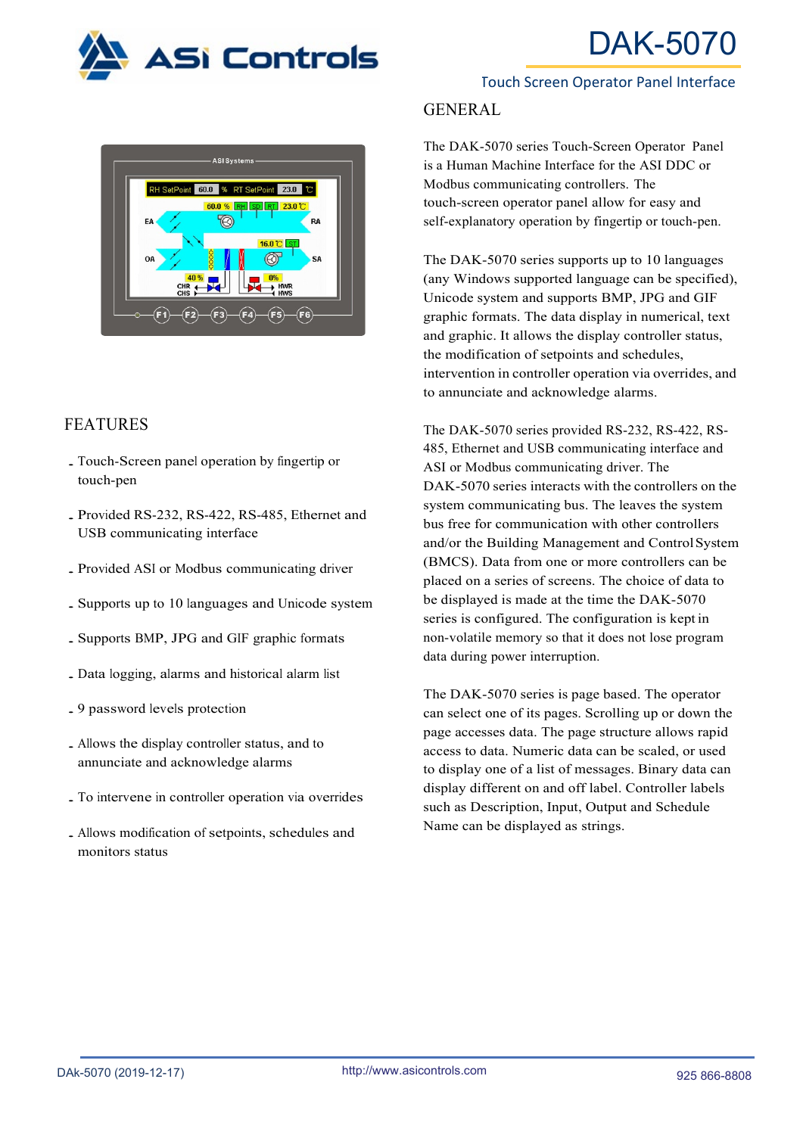





# FEATURES

- ․Touch-Screen panel operation by fingertip or touch-pen
- ․Provided RS-232, RS-422, RS-485, Ethernet and USB communicating interface
- ․Provided ASI or Modbus communicating driver
- ․Supports up to <sup>10</sup> languages and Unicode system
- ․Supports BMP, JPG and GIF graphic formats
- ․Data logging, alarms and historical alarm list
- ․<sup>9</sup> password levels protection
- ․Allows the display controller status, and to annunciate and acknowledge alarms
- ․To intervene in controller operation via overrides
- ․Allows modification of setpoints, schedules and monitors status

#### Touch Screen Operator Panel Interface

### GENERAL

The DAK-5070 series Touch-Screen Operator Panel is a Human Machine Interface for the ASI DDC or Modbus communicating controllers. The touch-screen operator panel allow for easy and self-explanatory operation by fingertip or touch-pen.

The DAK-5070 series supports up to 10 languages (any Windows supported language can be specified), Unicode system and supports BMP, JPG and GIF graphic formats. The data display in numerical, text and graphic. It allows the display controller status, the modification of setpoints and schedules, intervention in controller operation via overrides, and to annunciate and acknowledge alarms.

The DAK-5070 series provided RS-232, RS-422, RS-485, Ethernet and USB communicating interface and ASI or Modbus communicating driver. The DAK-5070 series interacts with the controllers on the system communicating bus. The leaves the system bus free for communication with other controllers and/or the Building Management and ControlSystem (BMCS). Data from one or more controllers can be placed on a series of screens. The choice of data to be displayed is made at the time the DAK-5070 series is configured. The configuration is kept in non-volatile memory so that it does not lose program data during power interruption.

The DAK-5070 series is page based. The operator can select one of its pages. Scrolling up or down the page accesses data. The page structure allows rapid access to data. Numeric data can be scaled, or used to display one of a list of messages. Binary data can display different on and off label. Controller labels such as Description, Input, Output and Schedule Name can be displayed as strings.